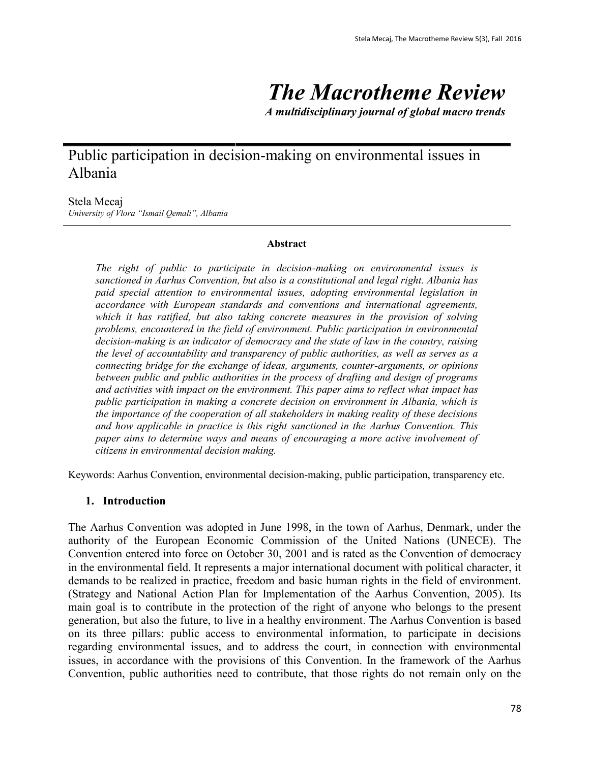# *The Macrotheme Review*

*A multidisciplinary journal of global macro trends*

# Public participation in decision-making on environmental issues in Albania

#### Stela Mecaj

*University of Vlora "Ismail Qemali", Albania*

#### **Abstract**

*The right of public to participate in decision-making on environmental issues is sanctioned in Aarhus Convention, but also is a constitutional and legal right. Albania has paid special attention to environmental issues, adopting environmental legislation in accordance with European standards and conventions and international agreements, which it has ratified, but also taking concrete measures in the provision of solving problems, encountered in the field of environment. Public participation in environmental decision-making is an indicator of democracy and the state of law in the country, raising the level of accountability and transparency of public authorities, as well as serves as a connecting bridge for the exchange of ideas, arguments, counter-arguments, or opinions between public and public authorities in the process of drafting and design of programs and activities with impact on the environment. This paper aims to reflect what impact has public participation in making a concrete decision on environment in Albania, which is the importance of the cooperation of all stakeholders in making reality of these decisions and how applicable in practice is this right sanctioned in the Aarhus Convention. This paper aims to determine ways and means of encouraging a more active involvement of citizens in environmental decision making.*

Keywords: Aarhus Convention, environmental decision-making, public participation, transparency etc.

#### **1. Introduction**

The Aarhus Convention was adopted in June 1998, in the town of Aarhus, Denmark, under the authority of the European Economic Commission of the United Nations (UNECE). The Convention entered into force on October 30, 2001 and is rated as the Convention of democracy in the environmental field. It represents a major international document with political character, it demands to be realized in practice, freedom and basic human rights in the field of environment. (Strategy and National Action Plan for Implementation of the Aarhus Convention, 2005). Its main goal is to contribute in the protection of the right of anyone who belongs to the present generation, but also the future, to live in a healthy environment. The Aarhus Convention is based on its three pillars: public access to environmental information, to participate in decisions regarding environmental issues, and to address the court, in connection with environmental issues, in accordance with the provisions of this Convention. In the framework of the Aarhus Convention, public authorities need to contribute, that those rights do not remain only on the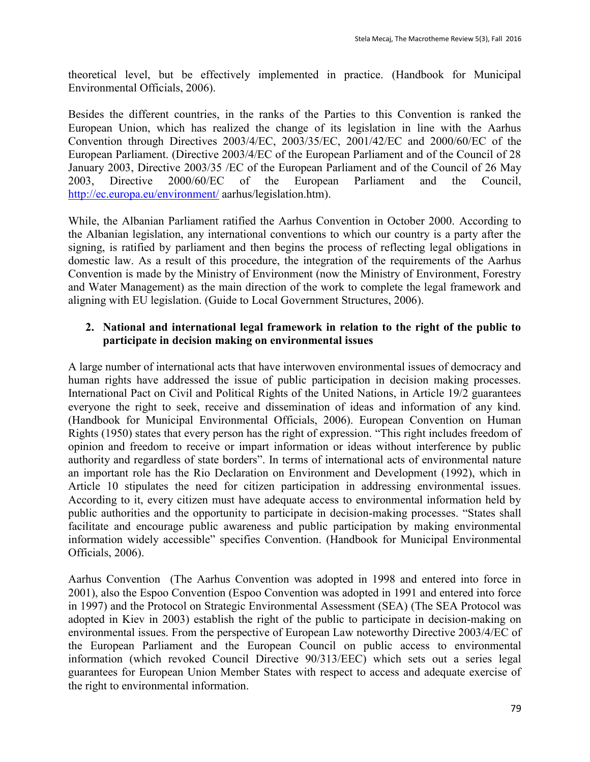theoretical level, but be effectively implemented in practice. (Handbook for Municipal Environmental Officials, 2006).

Besides the different countries, in the ranks of the Parties to this Convention is ranked the European Union, which has realized the change of its legislation in line with the Aarhus Convention through Directives 2003/4/EC, 2003/35/EC, 2001/42/EC and 2000/60/EC of the European Parliament. (Directive 2003/4/EC of the European Parliament and of the Council of 28 January 2003, Directive 2003/35 /EC of the European Parliament and of the Council of 26 May 2003, Directive 2000/60/EC of the European Parliament and the Council, <http://ec.europa.eu/environment/> aarhus/legislation.htm).

While, the Albanian Parliament ratified the Aarhus Convention in October 2000. According to the Albanian legislation, any international conventions to which our country is a party after the signing, is ratified by parliament and then begins the process of reflecting legal obligations in domestic law. As a result of this procedure, the integration of the requirements of the Aarhus Convention is made by the Ministry of Environment (now the Ministry of Environment, Forestry and Water Management) as the main direction of the work to complete the legal framework and aligning with EU legislation. (Guide to Local Government Structures, 2006).

#### **2. National and international legal framework in relation to the right of the public to participate in decision making on environmental issues**

A large number of international acts that have interwoven environmental issues of democracy and human rights have addressed the issue of public participation in decision making processes. International Pact on Civil and Political Rights of the United Nations, in Article 19/2 guarantees everyone the right to seek, receive and dissemination of ideas and information of any kind. (Handbook for Municipal Environmental Officials, 2006). European Convention on Human Rights (1950) states that every person has the right of expression. "This right includes freedom of opinion and freedom to receive or impart information or ideas without interference by public authority and regardless of state borders". In terms of international acts of environmental nature an important role has the Rio Declaration on Environment and Development (1992), which in Article 10 stipulates the need for citizen participation in addressing environmental issues. According to it, every citizen must have adequate access to environmental information held by public authorities and the opportunity to participate in decision-making processes. "States shall facilitate and encourage public awareness and public participation by making environmental information widely accessible" specifies Convention. (Handbook for Municipal Environmental Officials, 2006).

Aarhus Convention (The Aarhus Convention was adopted in 1998 and entered into force in 2001), also the Espoo Convention (Espoo Convention was adopted in 1991 and entered into force in 1997) and the Protocol on Strategic Environmental Assessment (SEA) (The SEA Protocol was adopted in Kiev in 2003) establish the right of the public to participate in decision-making on environmental issues. From the perspective of European Law noteworthy Directive 2003/4/EC of the European Parliament and the European Council on public access to environmental information (which revoked Council Directive 90/313/EEC) which sets out a series legal guarantees for European Union Member States with respect to access and adequate exercise of the right to environmental information.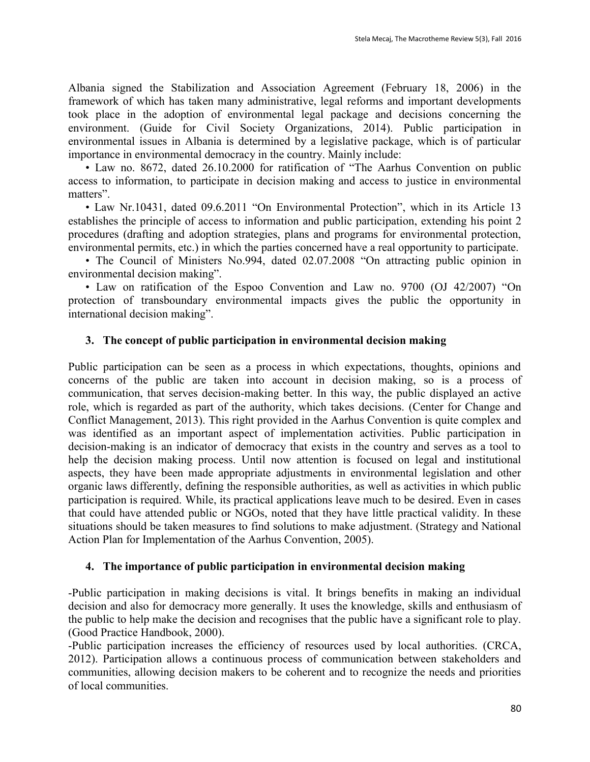Albania signed the Stabilization and Association Agreement (February 18, 2006) in the framework of which has taken many administrative, legal reforms and important developments took place in the adoption of environmental legal package and decisions concerning the environment. (Guide for Civil Society Organizations, 2014). Public participation in environmental issues in Albania is determined by a legislative package, which is of particular importance in environmental democracy in the country. Mainly include:

• Law no. 8672, dated 26.10.2000 for ratification of "The Aarhus Convention on public access to information, to participate in decision making and access to justice in environmental matters".

• Law Nr.10431, dated 09.6.2011 "On Environmental Protection", which in its Article 13 establishes the principle of access to information and public participation, extending his point 2 procedures (drafting and adoption strategies, plans and programs for environmental protection, environmental permits, etc.) in which the parties concerned have a real opportunity to participate.

• The Council of Ministers No.994, dated 02.07.2008 "On attracting public opinion in environmental decision making".

• Law on ratification of the Espoo Convention and Law no. 9700 (OJ 42/2007) "On protection of transboundary environmental impacts gives the public the opportunity in international decision making".

## **3. The concept of public participation in environmental decision making**

Public participation can be seen as a process in which expectations, thoughts, opinions and concerns of the public are taken into account in decision making, so is a process of communication, that serves decision-making better. In this way, the public displayed an active role, which is regarded as part of the authority, which takes decisions. (Center for Change and Conflict Management, 2013). This right provided in the Aarhus Convention is quite complex and was identified as an important aspect of implementation activities. Public participation in decision-making is an indicator of democracy that exists in the country and serves as a tool to help the decision making process. Until now attention is focused on legal and institutional aspects, they have been made appropriate adjustments in environmental legislation and other organic laws differently, defining the responsible authorities, as well as activities in which public participation is required. While, its practical applications leave much to be desired. Even in cases that could have attended public or NGOs, noted that they have little practical validity. In these situations should be taken measures to find solutions to make adjustment. (Strategy and National Action Plan for Implementation of the Aarhus Convention, 2005).

## **4. The importance of public participation in environmental decision making**

-Public participation in making decisions is vital. It brings benefits in making an individual decision and also for democracy more generally. It uses the knowledge, skills and enthusiasm of the public to help make the decision and recognises that the public have a significant role to play. (Good Practice Handbook, 2000).

-Public participation increases the efficiency of resources used by local authorities. (CRCA, 2012). Participation allows a continuous process of communication between stakeholders and communities, allowing decision makers to be coherent and to recognize the needs and priorities of local communities.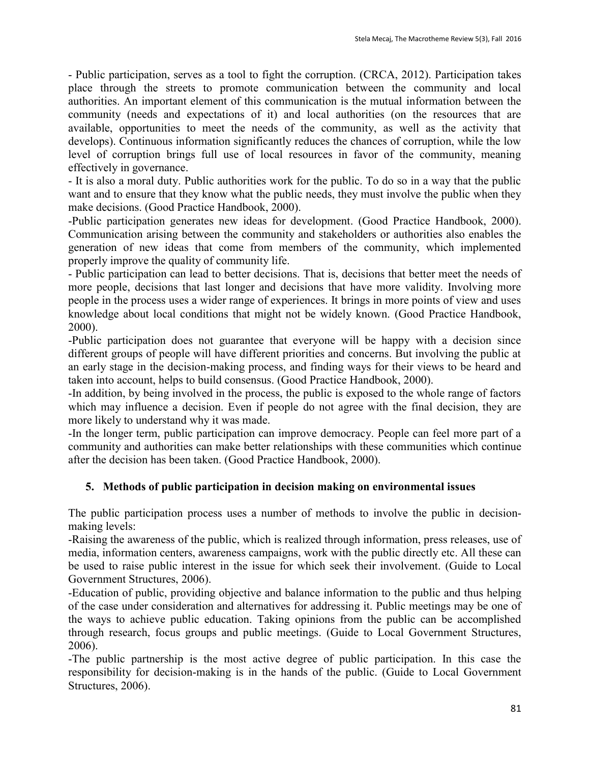- Public participation, serves as a tool to fight the corruption. (CRCA, 2012). Participation takes place through the streets to promote communication between the community and local authorities. An important element of this communication is the mutual information between the community (needs and expectations of it) and local authorities (on the resources that are available, opportunities to meet the needs of the community, as well as the activity that develops). Continuous information significantly reduces the chances of corruption, while the low level of corruption brings full use of local resources in favor of the community, meaning effectively in governance.

- It is also a moral duty. Public authorities work for the public. To do so in a way that the public want and to ensure that they know what the public needs, they must involve the public when they make decisions. (Good Practice Handbook, 2000).

-Public participation generates new ideas for development. (Good Practice Handbook, 2000). Communication arising between the community and stakeholders or authorities also enables the generation of new ideas that come from members of the community, which implemented properly improve the quality of community life.

- Public participation can lead to better decisions. That is, decisions that better meet the needs of more people, decisions that last longer and decisions that have more validity. Involving more people in the process uses a wider range of experiences. It brings in more points of view and uses knowledge about local conditions that might not be widely known. (Good Practice Handbook, 2000).

-Public participation does not guarantee that everyone will be happy with a decision since different groups of people will have different priorities and concerns. But involving the public at an early stage in the decision-making process, and finding ways for their views to be heard and taken into account, helps to build consensus. (Good Practice Handbook, 2000).

-In addition, by being involved in the process, the public is exposed to the whole range of factors which may influence a decision. Even if people do not agree with the final decision, they are more likely to understand why it was made.

-In the longer term, public participation can improve democracy. People can feel more part of a community and authorities can make better relationships with these communities which continue after the decision has been taken. (Good Practice Handbook, 2000).

## **5. Methods of public participation in decision making on environmental issues**

The public participation process uses a number of methods to involve the public in decisionmaking levels:

-Raising the awareness of the public, which is realized through information, press releases, use of media, information centers, awareness campaigns, work with the public directly etc. All these can be used to raise public interest in the issue for which seek their involvement. (Guide to Local Government Structures, 2006).

-Education of public, providing objective and balance information to the public and thus helping of the case under consideration and alternatives for addressing it. Public meetings may be one of the ways to achieve public education. Taking opinions from the public can be accomplished through research, focus groups and public meetings. (Guide to Local Government Structures, 2006).

-The public partnership is the most active degree of public participation. In this case the responsibility for decision-making is in the hands of the public. (Guide to Local Government Structures, 2006).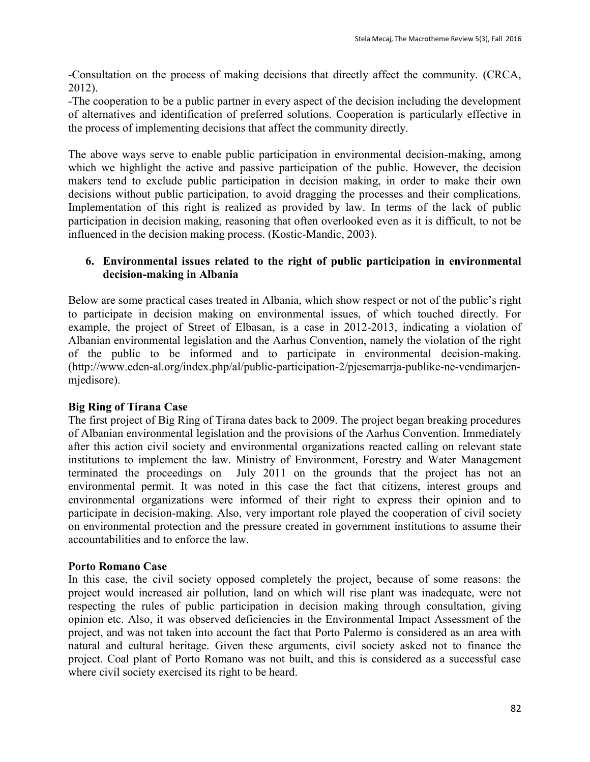-Consultation on the process of making decisions that directly affect the community. (CRCA, 2012).

-The cooperation to be a public partner in every aspect of the decision including the development of alternatives and identification of preferred solutions. Cooperation is particularly effective in the process of implementing decisions that affect the community directly.

The above ways serve to enable public participation in environmental decision-making, among which we highlight the active and passive participation of the public. However, the decision makers tend to exclude public participation in decision making, in order to make their own decisions without public participation, to avoid dragging the processes and their complications. Implementation of this right is realized as provided by law. In terms of the lack of public participation in decision making, reasoning that often overlooked even as it is difficult, to not be influenced in the decision making process. (Kostic-Mandic, 2003).

#### **6. Environmental issues related to the right of public participation in environmental decision-making in Albania**

Below are some practical cases treated in Albania, which show respect or not of the public's right to participate in decision making on environmental issues, of which touched directly. For example, the project of Street of Elbasan, is a case in 2012-2013, indicating a violation of Albanian environmental legislation and the Aarhus Convention, namely the violation of the right of the public to be informed and to participate in environmental decision-making. [\(http://www.eden-al.org/index.php/al/public-participation-2/pjesemarrja-publike-ne-vendimarjen](http://www.eden-al.org/index.php/al/public-participation-2/pjesemarrja-publike-ne-vendimarjen-mjedisore)[mjedisore\)](http://www.eden-al.org/index.php/al/public-participation-2/pjesemarrja-publike-ne-vendimarjen-mjedisore).

## **Big Ring of Tirana Case**

The first project of Big Ring of Tirana dates back to 2009. The project began breaking procedures of Albanian environmental legislation and the provisions of the Aarhus Convention. Immediately after this action civil society and environmental organizations reacted calling on relevant state institutions to implement the law. Ministry of Environment, Forestry and Water Management terminated the proceedings on July 2011 on the grounds that the project has not an environmental permit. It was noted in this case the fact that citizens, interest groups and environmental organizations were informed of their right to express their opinion and to participate in decision-making. Also, very important role played the cooperation of civil society on environmental protection and the pressure created in government institutions to assume their accountabilities and to enforce the law.

## **Porto Romano Case**

In this case, the civil society opposed completely the project, because of some reasons: the project would increased air pollution, land on which will rise plant was inadequate, were not respecting the rules of public participation in decision making through consultation, giving opinion etc. Also, it was observed deficiencies in the Environmental Impact Assessment of the project, and was not taken into account the fact that Porto Palermo is considered as an area with natural and cultural heritage. Given these arguments, civil society asked not to finance the project. Coal plant of Porto Romano was not built, and this is considered as a successful case where civil society exercised its right to be heard.